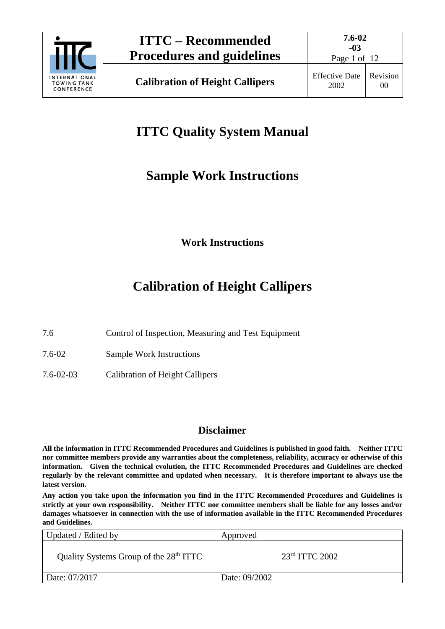

# **ITTC Quality System Manual**

# **Sample Work Instructions**

**Work Instructions**

# **Calibration of Height Callipers**

- 7.6 Control of Inspection, Measuring and Test Equipment
- 7.6-02 Sample Work Instructions
- 7.6-02-03 Calibration of Height Callipers

### **Disclaimer**

**All the information in ITTC Recommended Procedures and Guidelines is published in good faith. Neither ITTC nor committee members provide any warranties about the completeness, reliability, accuracy or otherwise of this information. Given the technical evolution, the ITTC Recommended Procedures and Guidelines are checked regularly by the relevant committee and updated when necessary. It is therefore important to always use the latest version.**

**Any action you take upon the information you find in the ITTC Recommended Procedures and Guidelines is strictly at your own responsibility. Neither ITTC nor committee members shall be liable for any losses and/or damages whatsoever in connection with the use of information available in the ITTC Recommended Procedures and Guidelines.**

| Updated / Edited by                                | Approved           |
|----------------------------------------------------|--------------------|
| Quality Systems Group of the 28 <sup>th</sup> ITTC | $23rd$ ITTC $2002$ |
| Date: 07/2017                                      | Date: 09/2002      |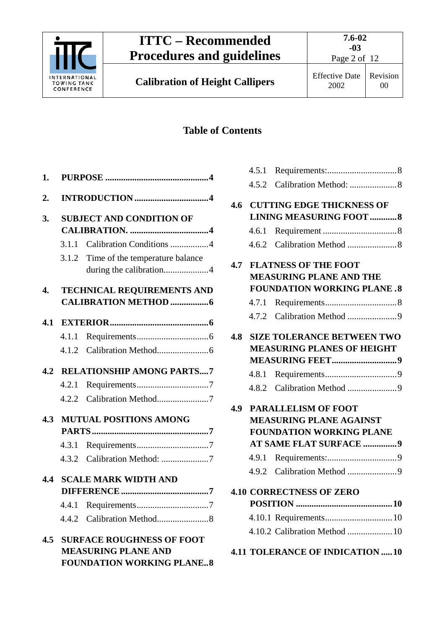

Page 2 of 12

**Calibration of Height Callipers** Effective Date

# **Table of Contents**

| 1.  |       |                                                                |
|-----|-------|----------------------------------------------------------------|
| 2.  |       |                                                                |
| 3.  |       | <b>SUBJECT AND CONDITION OF</b>                                |
|     | 3.1.1 | Calibration Conditions 4                                       |
|     | 3.1.2 | Time of the temperature balance                                |
|     |       | during the calibration4                                        |
| 4.  |       | <b>TECHNICAL REQUIREMENTS AND</b>                              |
| 4.1 |       |                                                                |
|     | 4.1.1 |                                                                |
|     |       |                                                                |
|     |       | <b>4.2 RELATIONSHIP AMONG PARTS7</b>                           |
|     |       |                                                                |
|     |       | 4.2.2 Calibration Method7                                      |
| 4.3 |       | <b>MUTUAL POSITIONS AMONG</b>                                  |
|     |       |                                                                |
|     |       |                                                                |
|     |       |                                                                |
|     |       | <b>4.4 SCALE MARK WIDTH AND</b>                                |
|     |       |                                                                |
|     |       |                                                                |
|     |       |                                                                |
|     |       | <b>4.5 SURFACE ROUGHNESS OF FOOT</b>                           |
|     |       | <b>MEASURING PLANE AND</b><br><b>FOUNDATION WORKING PLANE8</b> |
|     |       |                                                                |

|     | <b>4.6 CUTTING EDGE THICKNESS OF</b>   |
|-----|----------------------------------------|
|     | <b>LINING MEASURING FOOT  8</b>        |
|     |                                        |
|     |                                        |
| 4.7 | <b>FLATNESS OF THE FOOT</b>            |
|     | <b>MEASURING PLANE AND THE</b>         |
|     | <b>FOUNDATION WORKING PLANE.8</b>      |
|     |                                        |
|     |                                        |
| 4.8 | <b>SIZE TOLERANCE BETWEEN TWO</b>      |
|     | <b>MEASURING PLANES OF HEIGHT</b>      |
|     |                                        |
|     |                                        |
|     |                                        |
| 4.9 | <b>PARALLELISM OF FOOT</b>             |
|     | <b>MEASURING PLANE AGAINST</b>         |
|     | <b>FOUNDATION WORKING PLANE</b>        |
|     | <b>AT SAME FLAT SURFACE 9</b>          |
|     |                                        |
|     |                                        |
|     | <b>4.10 CORRECTNESS OF ZERO</b>        |
|     |                                        |
|     |                                        |
|     | 4.10.2 Calibration Method  10          |
|     | <b>4.11 TOLERANCE OF INDICATION 10</b> |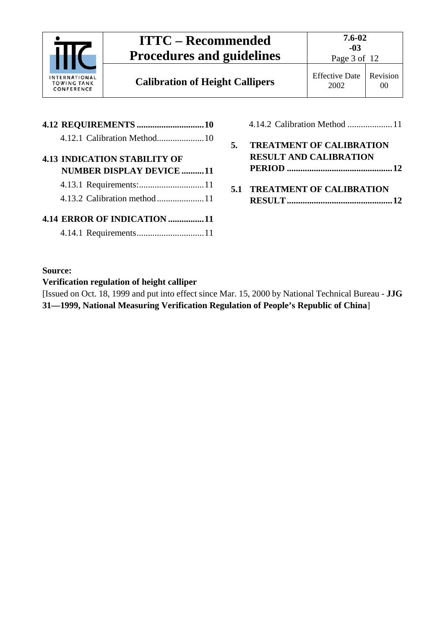

**Calibration of Height Callipers** Effective Date

Page 3 of 12

|  | <b>4.13 INDICATION STABILITY OF</b> |
|--|-------------------------------------|
|  | <b>NUMBER DISPLAY DEVICE 11</b>     |
|  |                                     |
|  | 4.13.2 Calibration method 11        |
|  | 4.14 ERROR OF INDICATION 11         |
|  |                                     |

| 4.14.2 Calibration Method 11                                 |
|--------------------------------------------------------------|
| 5. TREATMENT OF CALIBRATION<br><b>RESULT AND CALIBRATION</b> |
| <b>5.1 TREATMENT OF CALIBRATION</b>                          |

#### **Source:**

#### **Verification regulation of height calliper**

[Issued on Oct. 18, 1999 and put into effect since Mar. 15, 2000 by National Technical Bureau - **JJG 31—1999, National Measuring Verification Regulation of People's Republic of China**]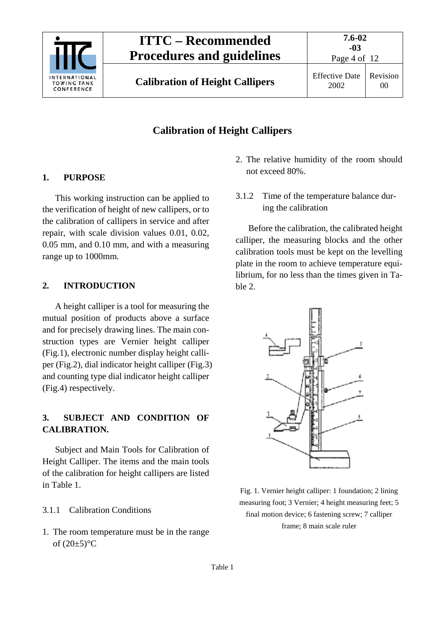

Page 4 of 12

**Calibration of Height Callipers** Effective Date

## **Calibration of Height Callipers**

#### <span id="page-3-0"></span>**1. PURPOSE**

This working instruction can be applied to the verification of height of new callipers, or to the calibration of callipers in service and after repair, with scale division values 0.01, 0.02, 0.05 mm, and 0.10 mm, and with a measuring range up to 1000mm.

#### <span id="page-3-1"></span>**2. INTRODUCTION**

A height calliper is a tool for measuring the mutual position of products above a surface and for precisely drawing lines. The main construction types are Vernier height calliper (Fig.1), electronic number display height calliper (Fig.2), dial indicator height calliper (Fig.3) and counting type dial indicator height calliper (Fig.4) respectively.

#### <span id="page-3-2"></span>**3. SUBJECT AND CONDITION OF CALIBRATION.**

Subject and Main Tools for Calibration of Height Calliper. The items and the main tools of the calibration for height callipers are listed in Table 1.

#### <span id="page-3-3"></span>3.1.1 Calibration Conditions

1. The room temperature must be in the range of  $(20\pm5)$ °C

- 2. The relative humidity of the room should not exceed 80%.
- <span id="page-3-4"></span>3.1.2 Time of the temperature balance during the calibration

Before the calibration, the calibrated height calliper, the measuring blocks and the other calibration tools must be kept on the levelling plate in the room to achieve temperature equilibrium, for no less than the times given in Table 2.



Fig. 1. Vernier height calliper: 1 foundation; 2 lining measuring foot; 3 Vernier; 4 height measuring feet; 5 final motion device; 6 fastening screw; 7 calliper frame; 8 main scale ruler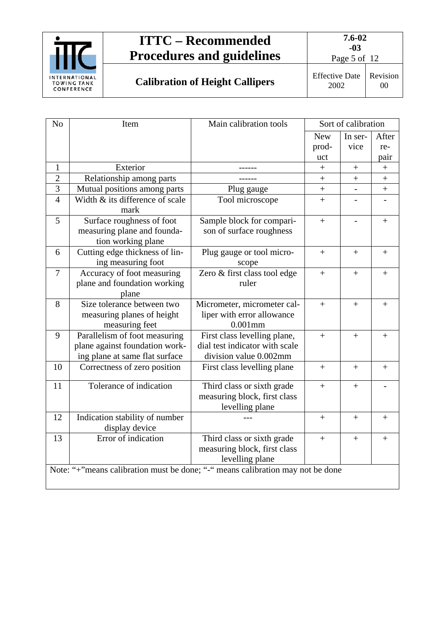

Page 5 of 12

**Calibration of Height Callipers** Effective Date

2002

Revision 00

| N <sub>o</sub>                                                                 | Item                                                                | Main calibration tools                                                        |            | Sort of calibration      |                  |
|--------------------------------------------------------------------------------|---------------------------------------------------------------------|-------------------------------------------------------------------------------|------------|--------------------------|------------------|
|                                                                                |                                                                     |                                                                               | <b>New</b> | In ser-                  | After            |
|                                                                                |                                                                     |                                                                               | prod-      | vice                     | re-              |
|                                                                                |                                                                     |                                                                               | uct        |                          | pair             |
| 1                                                                              | Exterior                                                            |                                                                               | $\! + \!$  | $\boldsymbol{+}$         | $\! + \!$        |
| $\overline{2}$                                                                 | Relationship among parts                                            |                                                                               | $\! + \!$  | $\qquad \qquad +$        | $\! + \!$        |
| 3                                                                              | Mutual positions among parts                                        | Plug gauge                                                                    |            | $\overline{\phantom{a}}$ | $\boldsymbol{+}$ |
| $\overline{4}$                                                                 | Width & its difference of scale<br>mark                             | Tool microscope                                                               | $+$        |                          |                  |
| 5                                                                              | Surface roughness of foot                                           | Sample block for compari-                                                     | $+$        |                          | $^{+}$           |
|                                                                                | measuring plane and founda-<br>tion working plane                   | son of surface roughness                                                      |            |                          |                  |
| 6                                                                              | Cutting edge thickness of lin-<br>ing measuring foot                | Plug gauge or tool micro-<br>scope                                            | $^{+}$     | $^{+}$                   | $^{+}$           |
| 7                                                                              | Accuracy of foot measuring<br>plane and foundation working<br>plane | Zero & first class tool edge<br>ruler                                         | $+$        | $+$                      | $^{+}$           |
| 8                                                                              | Size tolerance between two                                          | Micrometer, micrometer cal-                                                   |            |                          |                  |
|                                                                                | measuring planes of height                                          | liper with error allowance                                                    | $+$        | $+$                      | $+$              |
|                                                                                | measuring feet                                                      | $0.001$ mm                                                                    |            |                          |                  |
| 9                                                                              | Parallelism of foot measuring                                       | First class levelling plane,                                                  | $+$        | $\ddot{}$                | $^{+}$           |
|                                                                                | plane against foundation work-                                      | dial test indicator with scale                                                |            |                          |                  |
|                                                                                | ing plane at same flat surface                                      | division value 0.002mm                                                        |            |                          |                  |
| 10                                                                             | Correctness of zero position                                        | First class levelling plane                                                   | $+$        | $+$                      | $+$              |
| 11                                                                             | Tolerance of indication                                             | Third class or sixth grade<br>measuring block, first class<br>levelling plane | $+$        | $^{+}$                   |                  |
| 12                                                                             | Indication stability of number<br>display device                    |                                                                               | $+$        | $+$                      | $^{+}$           |
| 13                                                                             | Error of indication                                                 | Third class or sixth grade<br>measuring block, first class<br>levelling plane | $+$        | $+$                      | $^{+}$           |
| Note: "+"means calibration must be done; "-" means calibration may not be done |                                                                     |                                                                               |            |                          |                  |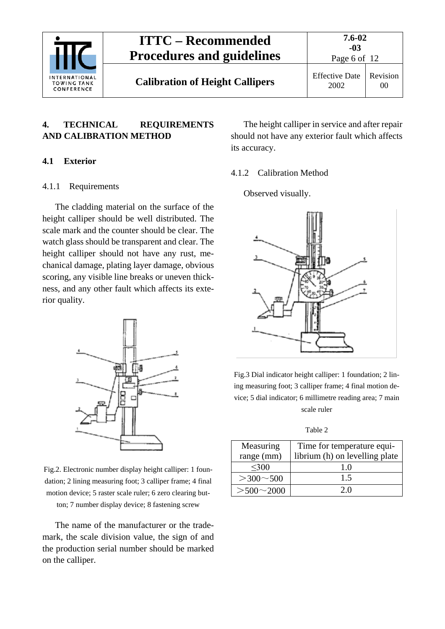

### <span id="page-5-0"></span>**4. TECHNICAL REQUIREMENTS AND CALIBRATION METHOD**

#### <span id="page-5-2"></span><span id="page-5-1"></span>**4.1 Exterior**

#### 4.1.1 Requirements

The cladding material on the surface of the height calliper should be well distributed. The scale mark and the counter should be clear. The watch glass should be transparent and clear. The height calliper should not have any rust, mechanical damage, plating layer damage, obvious scoring, any visible line breaks or uneven thickness, and any other fault which affects its exterior quality.



Fig.2. Electronic number display height calliper: 1 foundation; 2 lining measuring foot; 3 calliper frame; 4 final motion device; 5 raster scale ruler; 6 zero clearing button; 7 number display device; 8 fastening screw

The name of the manufacturer or the trademark, the scale division value, the sign of and the production serial number should be marked on the calliper.

The height calliper in service and after repair should not have any exterior fault which affects its accuracy.

#### <span id="page-5-3"></span>4.1.2 Calibration Method

Observed visually.



Fig.3 Dial indicator height calliper: 1 foundation; 2 lining measuring foot; 3 calliper frame; 4 final motion device; 5 dial indicator; 6 millimetre reading area; 7 main scale ruler

Table 2

| Measuring         | Time for temperature equi-     |
|-------------------|--------------------------------|
| range (mm)        | librium (h) on levelling plate |
| $300$             | 10                             |
| $>300 \sim 500$   | 1.5                            |
| $> 500 \sim 2000$ | 20                             |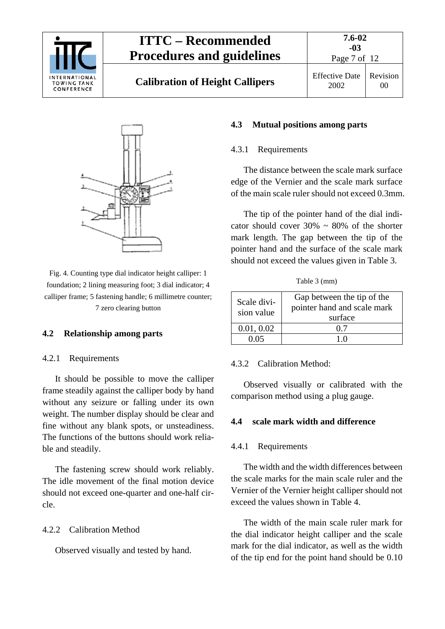

# **Calibration of Height Callipers** Effective Date

**7.6-02**



Fig. 4. Counting type dial indicator height calliper: 1 foundation; 2 lining measuring foot; 3 dial indicator; 4 calliper frame; 5 fastening handle; 6 millimetre counter; 7 zero clearing button

#### <span id="page-6-1"></span><span id="page-6-0"></span>**4.2 Relationship among parts**

#### 4.2.1 Requirements

It should be possible to move the calliper frame steadily against the calliper body by hand without any seizure or falling under its own weight. The number display should be clear and fine without any blank spots, or unsteadiness. The functions of the buttons should work reliable and steadily.

The fastening screw should work reliably. The idle movement of the final motion device should not exceed one-quarter and one-half circle.

#### <span id="page-6-2"></span>4.2.2 Calibration Method

Observed visually and tested by hand.

#### <span id="page-6-4"></span><span id="page-6-3"></span>**4.3 Mutual positions among parts**

#### 4.3.1 Requirements

The distance between the scale mark surface edge of the Vernier and the scale mark surface of the main scale ruler should not exceed 0.3mm.

The tip of the pointer hand of the dial indicator should cover  $30\% \sim 80\%$  of the shorter mark length. The gap between the tip of the pointer hand and the surface of the scale mark should not exceed the values given in Table 3.

Table 3 (mm)

| Scale divi-<br>sion value | Gap between the tip of the<br>pointer hand and scale mark<br>surface |
|---------------------------|----------------------------------------------------------------------|
| 0.01, 0.02                | 07                                                                   |
| በ በ5                      |                                                                      |

#### <span id="page-6-5"></span>4.3.2 Calibration Method:

Observed visually or calibrated with the comparison method using a plug gauge.

#### <span id="page-6-7"></span><span id="page-6-6"></span>**4.4 scale mark width and difference**

#### 4.4.1 Requirements

The width and the width differences between the scale marks for the main scale ruler and the Vernier of the Vernier height calliper should not exceed the values shown in Table 4.

The width of the main scale ruler mark for the dial indicator height calliper and the scale mark for the dial indicator, as well as the width of the tip end for the point hand should be 0.10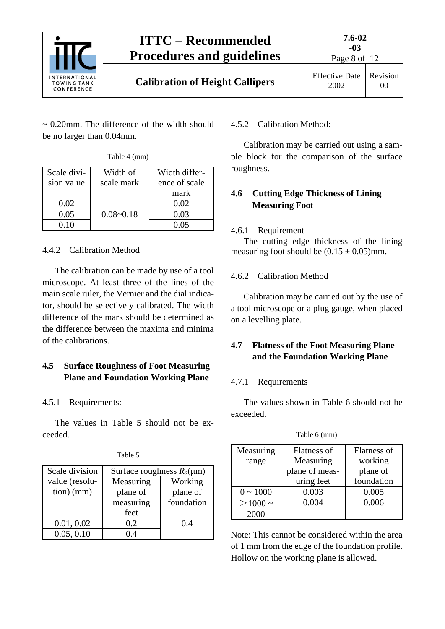

 $\sim$  0.20mm. The difference of the width should be no larger than 0.04mm.

| Table 4 (mm) |  |
|--------------|--|
|--------------|--|

| Scale divi-<br>sion value | Width of<br>scale mark | Width differ-<br>ence of scale |
|---------------------------|------------------------|--------------------------------|
|                           |                        | mark                           |
| 0.02                      |                        | 0.02                           |
| 0.05                      | $0.08 - 0.18$          | 0.03                           |
| 0 10                      |                        | 0 05                           |

## <span id="page-7-0"></span>4.4.2 Calibration Method

The calibration can be made by use of a tool microscope. At least three of the lines of the main scale ruler, the Vernier and the dial indicator, should be selectively calibrated. The width difference of the mark should be determined as the difference between the maxima and minima of the calibrations.

## <span id="page-7-1"></span>**4.5 Surface Roughness of Foot Measuring Plane and Foundation Working Plane**

## <span id="page-7-2"></span>4.5.1 Requirements:

The values in Table 5 should not be exceeded.

| Scale division | Surface roughness $R_a(\mu m)$ |            |  |
|----------------|--------------------------------|------------|--|
| value (resolu- | Measuring                      | Working    |  |
| $tion)$ (mm)   | plane of                       | plane of   |  |
|                | measuring                      | foundation |  |
|                | feet                           |            |  |
| 0.01, 0.02     | 0.2                            | 0.4        |  |
| 0.05, 0.10     | $\overline{A}$                 |            |  |

#### Table 5

#### <span id="page-7-3"></span>4.5.2 Calibration Method:

Calibration may be carried out using a sample block for the comparison of the surface roughness.

### <span id="page-7-4"></span>**4.6 Cutting Edge Thickness of Lining Measuring Foot**

### <span id="page-7-5"></span>4.6.1 Requirement

The cutting edge thickness of the lining measuring foot should be  $(0.15 \pm 0.05)$  mm.

### <span id="page-7-6"></span>4.6.2 Calibration Method

Calibration may be carried out by the use of a tool microscope or a plug gauge, when placed on a levelling plate.

### <span id="page-7-7"></span>**4.7 Flatness of the Foot Measuring Plane and the Foundation Working Plane**

### <span id="page-7-8"></span>4.7.1 Requirements

The values shown in Table 6 should not be exceeded.

| Flatness of    | Flatness of |
|----------------|-------------|
| Measuring      | working     |
| plane of meas- | plane of    |
| uring feet     | foundation  |
| 0.003          | 0.005       |
| 0.004          | 0.006       |
|                |             |
|                |             |

Table 6 (mm)

Note: This cannot be considered within the area of 1 mm from the edge of the foundation profile. Hollow on the working plane is allowed.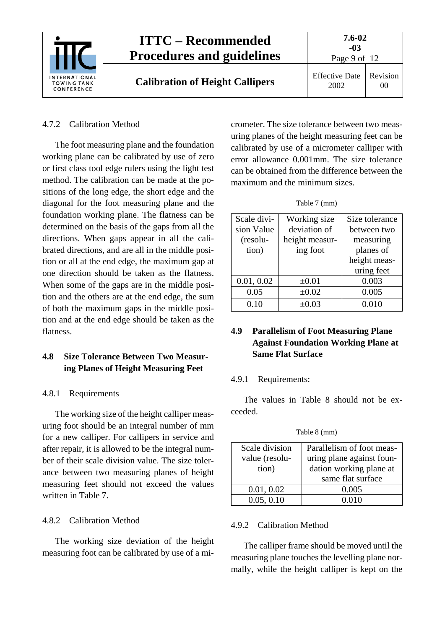

#### <span id="page-8-0"></span>4.7.2 Calibration Method

The foot measuring plane and the foundation working plane can be calibrated by use of zero or first class tool edge rulers using the light test method. The calibration can be made at the positions of the long edge, the short edge and the diagonal for the foot measuring plane and the foundation working plane. The flatness can be determined on the basis of the gaps from all the directions. When gaps appear in all the calibrated directions, and are all in the middle position or all at the end edge, the maximum gap at one direction should be taken as the flatness. When some of the gaps are in the middle position and the others are at the end edge, the sum of both the maximum gaps in the middle position and at the end edge should be taken as the flatness.

### <span id="page-8-1"></span>**4.8 Size Tolerance Between Two Measuring Planes of Height Measuring Feet**

#### <span id="page-8-2"></span>4.8.1 Requirements

The working size of the height calliper measuring foot should be an integral number of mm for a new calliper. For callipers in service and after repair, it is allowed to be the integral number of their scale division value. The size tolerance between two measuring planes of height measuring feet should not exceed the values written in Table 7.

#### <span id="page-8-3"></span>4.8.2 Calibration Method

The working size deviation of the height measuring foot can be calibrated by use of a micrometer. The size tolerance between two measuring planes of the height measuring feet can be calibrated by use of a micrometer calliper with error allowance 0.001mm. The size tolerance can be obtained from the difference between the maximum and the minimum sizes.

Table 7 (mm)

| Scale divi- | Working size   | Size tolerance |  |
|-------------|----------------|----------------|--|
| sion Value  | deviation of   | between two    |  |
| (resolu-    | height measur- | measuring      |  |
| tion)       | ing foot       | planes of      |  |
|             |                | height meas-   |  |
|             |                | uring feet     |  |
| 0.01, 0.02  | $\pm 0.01$     | 0.003          |  |
| 0.05        | $\pm 0.02$     | 0.005          |  |
| 0.10        | $\pm 0.03$     | 0.010          |  |

### <span id="page-8-4"></span>**4.9 Parallelism of Foot Measuring Plane Against Foundation Working Plane at Same Flat Surface**

#### <span id="page-8-5"></span>4.9.1 Requirements:

The values in Table 8 should not be exceeded.

Table 8 (mm)

| Scale division | Parallelism of foot meas- |  |
|----------------|---------------------------|--|
| value (resolu- | uring plane against foun- |  |
| tion)          | dation working plane at   |  |
|                | same flat surface         |  |
| 0.01, 0.02     | 0.005                     |  |
| 0.05, 0.10     | 0.010                     |  |

#### <span id="page-8-6"></span>4.9.2 Calibration Method

The calliper frame should be moved until the measuring plane touches the levelling plane normally, while the height calliper is kept on the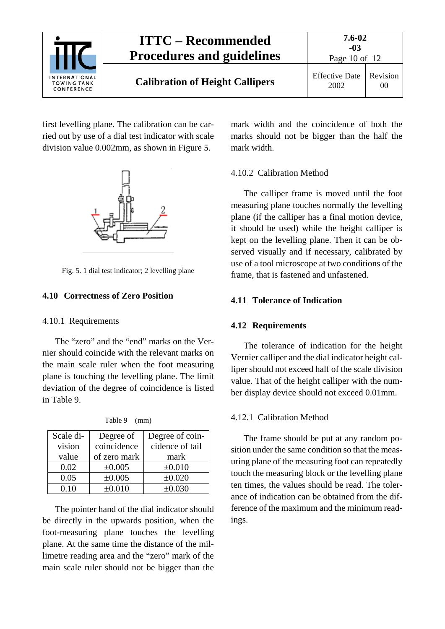

first levelling plane. The calibration can be carried out by use of a dial test indicator with scale division value 0.002mm, as shown in Figure 5.



Fig. 5. 1 dial test indicator; 2 levelling plane

#### <span id="page-9-1"></span><span id="page-9-0"></span>**4.10 Correctness of Zero Position**

#### 4.10.1 Requirements

The "zero" and the "end" marks on the Vernier should coincide with the relevant marks on the main scale ruler when the foot measuring plane is touching the levelling plane. The limit deviation of the degree of coincidence is listed in Table 9.

| Scale di- | Degree of    | Degree of coin- |
|-----------|--------------|-----------------|
| vision    | coincidence  | cidence of tail |
| value     | of zero mark | mark            |
| 0.02      | ±0.005       | $\pm 0.010$     |
| 0.05      | ±0.005       | $\pm 0.020$     |
| 0.10      | $\pm 0.010$  | $\pm 0.030$     |

Table 9 (mm)

The pointer hand of the dial indicator should be directly in the upwards position, when the foot-measuring plane touches the levelling plane. At the same time the distance of the millimetre reading area and the "zero" mark of the main scale ruler should not be bigger than the mark width and the coincidence of both the marks should not be bigger than the half the mark width.

#### <span id="page-9-2"></span>4.10.2 Calibration Method

The calliper frame is moved until the foot measuring plane touches normally the levelling plane (if the calliper has a final motion device, it should be used) while the height calliper is kept on the levelling plane. Then it can be observed visually and if necessary, calibrated by use of a tool microscope at two conditions of the frame, that is fastened and unfastened.

#### <span id="page-9-4"></span><span id="page-9-3"></span>**4.11 Tolerance of Indication**

#### **4.12 Requirements**

The tolerance of indication for the height Vernier calliper and the dial indicator height calliper should not exceed half of the scale division value. That of the height calliper with the number display device should not exceed 0.01mm.

#### <span id="page-9-5"></span>4.12.1 Calibration Method

The frame should be put at any random position under the same condition so that the measuring plane of the measuring foot can repeatedly touch the measuring block or the levelling plane ten times, the values should be read. The tolerance of indication can be obtained from the difference of the maximum and the minimum readings.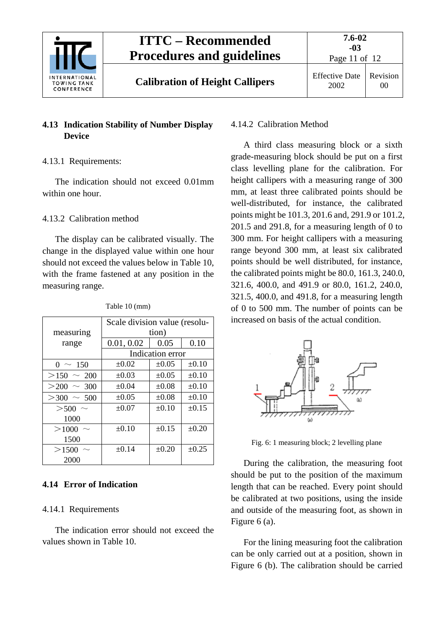

**Calibration of Height Callipers** Effective Date

Page 11 of 12

## <span id="page-10-0"></span>**4.13 Indication Stability of Number Display Device**

## <span id="page-10-1"></span>4.13.1 Requirements:

The indication should not exceed 0.01mm within one hour.

## <span id="page-10-2"></span>4.13.2 Calibration method

The display can be calibrated visually. The change in the displayed value within one hour should not exceed the values below in Table 10, with the frame fastened at any position in the measuring range.

|                 | Scale division value (resolu- |            |            |
|-----------------|-------------------------------|------------|------------|
| measuring       | tion)                         |            |            |
| range           | 0.01, 0.02                    | 0.05       | 0.10       |
|                 | Indication error              |            |            |
| $0 \sim 150$    | $\pm 0.02$                    | $\pm 0.05$ | $\pm 0.10$ |
| $>150 \sim 200$ | $\pm 0.03$                    | $\pm 0.05$ | $\pm 0.10$ |
| $>200 \sim 300$ | $\pm 0.04$                    | $\pm 0.08$ | $\pm 0.10$ |
| $>300 \sim 500$ | $\pm 0.05$                    | $\pm 0.08$ | $\pm 0.10$ |
| $>$ 500 $\sim$  | $\pm 0.07$                    | $\pm 0.10$ | $\pm 0.15$ |
| 1000            |                               |            |            |
| >1000           | $\pm 0.10$                    | $\pm 0.15$ | $\pm 0.20$ |
| 1500            |                               |            |            |
| >1500           | $\pm 0.14$                    | $\pm 0.20$ | $\pm 0.25$ |
| 2000            |                               |            |            |

Table 10 (mm)

## <span id="page-10-4"></span><span id="page-10-3"></span>**4.14 Error of Indication**

### 4.14.1 Requirements

The indication error should not exceed the values shown in Table 10.

### <span id="page-10-5"></span>4.14.2 Calibration Method

A third class measuring block or a sixth grade-measuring block should be put on a first class levelling plane for the calibration. For height callipers with a measuring range of 300 mm, at least three calibrated points should be well-distributed, for instance, the calibrated points might be 101.3, 201.6 and, 291.9 or 101.2, 201.5 and 291.8, for a measuring length of 0 to 300 mm. For height callipers with a measuring range beyond 300 mm, at least six calibrated points should be well distributed, for instance, the calibrated points might be 80.0, 161.3, 240.0, 321.6, 400.0, and 491.9 or 80.0, 161.2, 240.0, 321.5, 400.0, and 491.8, for a measuring length of 0 to 500 mm. The number of points can be increased on basis of the actual condition.



Fig. 6: 1 measuring block; 2 levelling plane

During the calibration, the measuring foot should be put to the position of the maximum length that can be reached. Every point should be calibrated at two positions, using the inside and outside of the measuring foot, as shown in Figure 6 (a).

For the lining measuring foot the calibration can be only carried out at a position, shown in Figure 6 (b). The calibration should be carried